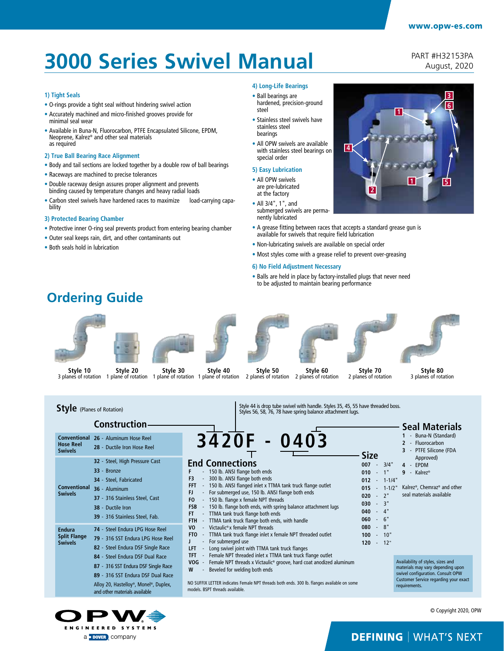# **3000 Series Swivel Manual**

PART #H32153PA August, 2020

**3**

**6**

**1 5**

#### **1) Tight Seals**

- O-rings provide a tight seal without hindering swivel action
- Accurately machined and micro-finished grooves provide for minimal seal wear
- Available in Buna-N, Fluorocarbon, PTFE Encapsulated Silicone, EPDM, Neoprene, Kalrez® and other seal materials as required
- **2) True Ball Bearing Race Alignment**
- Body and tail sections are locked together by a double row of ball bearings
- Raceways are machined to precise tolerances
- Double raceway design assures proper alignment and prevents binding caused by temperature changes and heavy radial loads
- Carbon steel swivels have hardened races to maximize load-carrying capability

#### **3) Protected Bearing Chamber**

- Protective inner O-ring seal prevents product from entering bearing chamber
- Outer seal keeps rain, dirt, and other contaminants out
- Both seals hold in lubrication

#### **4) Long-Life Bearings**

- Ball bearings are hardened, precision-ground steel
- Stainless steel swivels have stainless steel bearings
- All OPW swivels are available with stainless steel bearings on special order

#### **5) Easy Lubrication**

- All OPW swivels are pre-lubricated at the factory
- All 3/4", 1", and submerged swivels are permanently lubricated
- A grease fitting between races that accepts a standard grease gun is available for swivels that require field lubrication

**4**

**2**

**1**

- Non-lubricating swivels are available on special order
- Most styles come with a grease relief to prevent over-greasing

#### **6) No Field Adjustment Necessary**

• Balls are held in place by factory-installed plugs that never need to be adjusted to maintain bearing performance





3420F Style 44 is drop tube swivel with handle. Styles 35, 45, 55 have threaded boss. Styles 56, 58, 76, 78 have spring balance attachment lugs. **Seal Materials 1** - Buna-N (Standard) **2** - Fluorocarbon **3** - PTFE Silicone (FDA Approved) **4** - EPDM **9** - Kalrez® Kalrez®, Chemraz® and other **015** - 1-1/2" seal materials available **Style** (Planes of Rotation) **End Connections** - 150 lb. ANSI flange both ends **F3** - 300 lb. ANSI flange both ends **FFT** - 150 lb. ANSI flanged inlet x TTMA tank truck flange outlet **FJ** - For submerged use, 150 lb. ANSI flange both ends **FO** - 150 lb. flange x female NPT threads **FSB** - 150 lb. flange both ends, with spring balance attachment lugs **FT** - TTMA tank truck flange both ends **FTH** - TTMA tank truck flange both ends, with handle<br>**VO** - Victaulic®x female NPT threads - Victaulic® x female NPT threads **FTO** - TTMA tank truck flange inlet x female NPT threaded outlet **J** - For submerged use **LFT** - Long swivel joint with TTMA tank truck flanges<br>**TFT** - Female NPT threaded inlet x TTMA tank truck fl Female NPT threaded inlet x TTMA tank truck flange outlet **VOG** - Female NPT threads x Victaulic® groove, hard coat anodized aluminum **W** - Beveled for welding both ends NO SUFFIX LETTER indicates Female NPT threads both ends. 300 lb. flanges available on some Availability of styles, sizes and  $m$ aterials may vary depending up swivel configuration. Consult OPW Customer Service regarding your exact requirements. **Size 007** - 3/4" **010** - 1" **012** - 1-1/4" **020** - 2" **030** - 3" **040** - 4" **060** - 6" **080** - 8" **100** - 10" **120** - 12" **Conventional 26** - Aluminum Hose Reel **Hose Reel Swivels Endura Split Flange Swivels Conventional Swivels Construction 28** - Ductile Iron Hose Reel **32** - Steel, High Pressure Cast **33** - Bronze **34** - Steel, Fabricated **36** - Aluminum **37** - 316 Stainless Steel, Cast **38** - Ductile Iron **39** - 316 Stainless Steel, Fab. **74** - Steel Endura LPG Hose Reel **79** - 316 SST Endura LPG Hose Reel **82** - Steel Endura DSF Single Race **84** - Steel Endura DSF Dual Race **87** - 316 SST Endura DSF Single Race **89** - 316 SST Endura DSF Dual Race Alloy 20, Hastelloy®, Monel®, Duplex,

models. BSPT threads available.



and other materials available

© Copyright 2020, OPW

### **DEFINING | WHAT'S NEXT**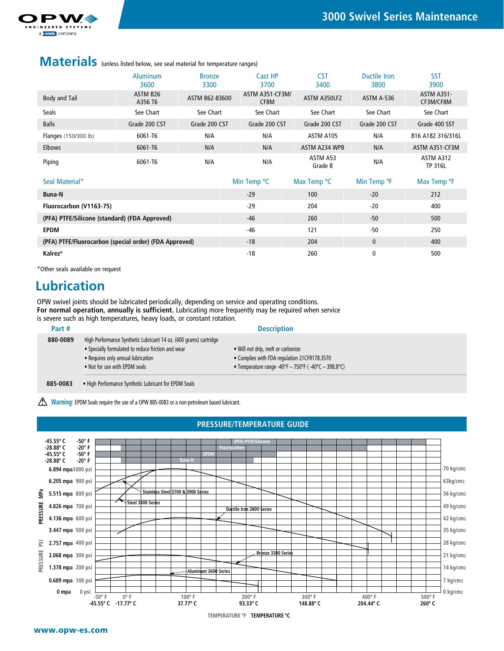

### **Materials** (unless listed below, see seal material for temperature ranges)

|                             | <b>Aluminum</b><br>3600         | <b>Bronze</b><br>3300 | Cast HP<br>3700         | <b>CST</b><br>3400  | Ductile Iron<br>3800 | <b>SST</b><br>3900             |
|-----------------------------|---------------------------------|-----------------------|-------------------------|---------------------|----------------------|--------------------------------|
| Body and Tail               | ASTM B <sub>26</sub><br>A356 T6 | ASTM B62-83600        | ASTM A351-CF3M/<br>CF8M | ASTM A350LF2        | ASTM A-536           | <b>ASTM A351-</b><br>CF3M/CF8M |
| <b>Seals</b>                | See Chart                       | See Chart             | See Chart               | See Chart           | See Chart            | See Chart                      |
| <b>Balls</b>                | Grade 200 CST                   | Grade 200 CST         | Grade 200 CST           | Grade 200 CST       | Grade 200 CST        | Grade 400 SST                  |
| <b>Flanges</b> (150/300 lb) | 6061-T6                         | N/A                   | N/A                     | ASTM A105           | N/A                  | B16 A182 316/316L              |
| <b>Elbows</b>               | 6061-T6                         | N/A                   | N/A                     | ASTM A234 WPB       | N/A                  | ASTM A351-CF3M                 |
| Piping                      | 6061-T6                         | N/A                   | N/A                     | ASTM A53<br>Grade B | N/A                  | ASTM A312<br><b>TP 316L</b>    |

| Seal Material*                                         | Min Temp <sup>o</sup> C | Max Temp <sup>o</sup> C | Min Temp <sup>o</sup> F | Max Temp <sup>o</sup> F |
|--------------------------------------------------------|-------------------------|-------------------------|-------------------------|-------------------------|
| <b>Buna-N</b>                                          | $-29$                   | 100                     | $-20$                   | 212                     |
| Fluorocarbon (V1163-75)                                | $-29$                   | 204                     | $-20$                   | 400                     |
| (PFA) PTFE/Silicone (standard) (FDA Approved)          | $-46$                   | 260                     | $-50$                   | 500                     |
| <b>EPDM</b>                                            | -46                     | 121                     | $-50$                   | 250                     |
| (PFA) PTFE/Fluorocarbon (special order) (FDA Approved) | $-18$                   | 204                     | $\mathbf{0}$            | 400                     |
| <b>Kalrez®</b>                                         | -18                     | 260                     |                         | 500                     |

\*Other seals available on request

### **Lubrication**

OPW swivel joints should be lubricated periodically, depending on service and operating conditions. **For normal operation, annually is sufficient.** Lubricating more frequently may be required when service is severe such as high temperatures, heavy loads, or constant rotation.

| Part #   |                                                                                                                                                                                                | <b>Description</b>                                                                                                                            |
|----------|------------------------------------------------------------------------------------------------------------------------------------------------------------------------------------------------|-----------------------------------------------------------------------------------------------------------------------------------------------|
| 880-0089 | High Performance Synthetic Lubricant 14 oz. (400 grams) cartridge<br>• Specially formulated to reduce friction and wear<br>• Requires only annual lubrication<br>. Not for use with EPDM seals | • Will not drip, melt or carbonize<br>• Complies with FDA regulation 21CFR178.3570<br>• Temperature range -40°F - 750°F ( $-40$ °C - 398.8°C) |
|          |                                                                                                                                                                                                |                                                                                                                                               |

**885-0083** • High Performance Synthetic Lubricant for EPDM Seals

Warning: EPDM Seals require the use of a OPW 885-0083 or a non-petroleum based lubricant.

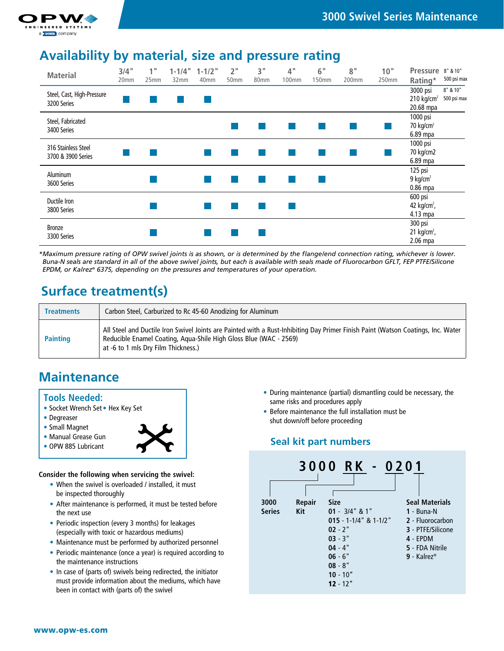

#### **Material** 3/4" **1" 2" 3" 4" 6" 8" 10" Pressure** 8" & 10" **1-1/4" 1-1/2"** 25mm 32mm 40mm 50mm 80mm 100mm 150mm 200mm 250mm **Rating\*** 500 psi max 8" & 10" 3000 psi Steel, Cast, High-Pressure  $210 \text{ kg/cm}^2$  500 psi max 3200 Series 20.68 mpa 1000 psi Steel, Fabricated  $70$  kg/cm<sup>2</sup> p.  $\mathcal{C}_{\mathcal{A}}$  $\mathcal{C}_{\mathcal{A}}$  $\mathcal{C}^{\mathcal{A}}$ **College** 3400 Series 6.89 mpa 1000 psi 316 Stainless Steel 70 kg/cm2  $\mathcal{O}(\mathcal{E})$ 3700 & 3900 Series 6.89 mpa 125 psi Aluminum  $\mathbb{R}^n$ 9 kg/cm $2$ **STAR** p. p. p. **College** 3600 Series 0.86 mpa 600 psi Ductile Iron n. **College** 42 kg/cm<sup>2</sup>, 3800 Series 4.13 mpa 300 psi Bronze  $\mathbb{R}^n$ 21 kg/cm<sup>2</sup>, 3300 Series 2.06 mpa

**Availability by material, size and pressure rating**

*\*Maximum pressure rating of OPW swivel joints is as shown, or is determined by the flange/end connection rating, whichever is lower. Buna-N seals are standard in all of the above swivel joints, but each is available with seals made of Fluorocarbon GFLT, FEP PTFE/Silicone EPDM, or Kalrez® 6375, depending on the pressures and temperatures of your operation.*

## **Surface treatment(s)**

| <b>Treatments</b> | Carbon Steel, Carburized to Rc 45-60 Anodizing for Aluminum                                                                                                                                                                                    |
|-------------------|------------------------------------------------------------------------------------------------------------------------------------------------------------------------------------------------------------------------------------------------|
| <b>Painting</b>   | All Steel and Ductile Iron Swivel Joints are Painted with a Rust-Inhibiting Day Primer Finish Paint (Watson Coatings, Inc. Water  <br>Reducible Enamel Coating, Aqua-Shile High Gloss Blue (WAC - 2569)<br>at -6 to 1 mls Dry Film Thickness.) |

### **Maintenance**

#### **Tools Needed:**

- Socket Wrench Set Hex Key Set
- Degreaser
- Small Magnet
- Manual Grease Gun
- OPW 885 Lubricant



**Consider the following when servicing the swivel:**

- When the swivel is overloaded / installed, it must be inspected thoroughly
- After maintenance is performed, it must be tested before the next use
- Periodic inspection (every 3 months) for leakages (especially with toxic or hazardous mediums)
- Maintenance must be performed by authorized personnel
- Periodic maintenance (once a year) is required according to the maintenance instructions
- In case of (parts of) swivels being redirected, the initiator must provide information about the mediums, which have been in contact with (parts of) the swivel
- During maintenance (partial) dismantling could be necessary, the same risks and procedures apply
- Before maintenance the full installation must be shut down/off before proceeding

### **Seal kit part numbers**

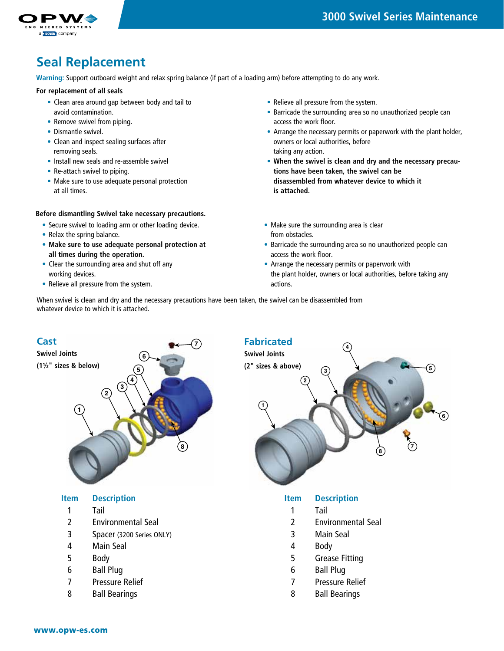

### **Seal Replacement**

**Warning:** Support outboard weight and relax spring balance (if part of a loading arm) before attempting to do any work.

#### **For replacement of all seals**

- Clean area around gap between body and tail to avoid contamination.
- Remove swivel from piping.
- Dismantle swivel.
- Clean and inspect sealing surfaces after removing seals.
- Install new seals and re-assemble swivel
- Re-attach swivel to piping.
- Make sure to use adequate personal protection at all times.

#### **Before dismantling Swivel take necessary precautions.**

- Secure swivel to loading arm or other loading device.
- Relax the spring balance.
- **Make sure to use adequate personal protection at all times during the operation.**
- Clear the surrounding area and shut off any working devices.
- Relieve all pressure from the system.
- Relieve all pressure from the system.
- Barricade the surrounding area so no unauthorized people can access the work floor.
- Arrange the necessary permits or paperwork with the plant holder, owners or local authorities, before taking any action.
- **When the swivel is clean and dry and the necessary precautions have been taken, the swivel can be disassembled from whatever device to which it is attached.**
- Make sure the surrounding area is clear from obstacles.
- Barricade the surrounding area so no unauthorized people can access the work floor.
- Arrange the necessary permits or paperwork with the plant holder, owners or local authorities, before taking any actions.

When swivel is clean and dry and the necessary precautions have been taken, the swivel can be disassembled from whatever device to which it is attached.



#### **Item Description**

- 1 Tail
- 2 Environmental Seal
- 3 Spacer (3200 Series ONLY)
- 4 Main Seal
- 5 Body
- 6 Ball Plug
- 7 Pressure Relief
- 8 Ball Bearings



#### **Item Description**

- 1 Tail
- 2 Environmental Seal
- 3 Main Seal
- 4 Body
- 5 Grease Fitting
- 6 Ball Plug
- 7 Pressure Relief
- 8 Ball Bearings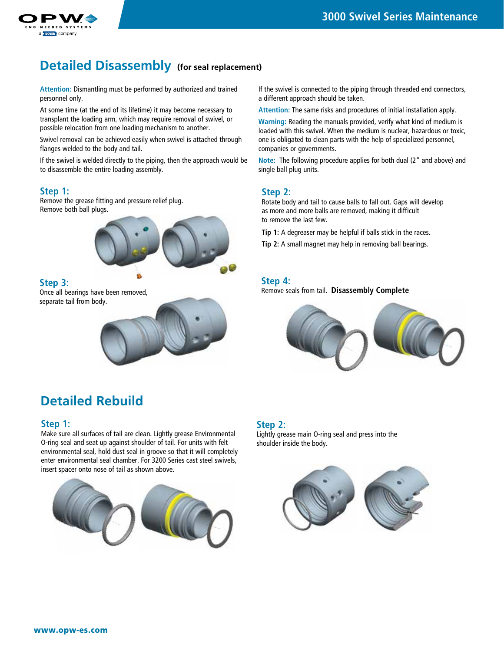

### **Detailed Disassembly (for seal replacement)**

**Attention:** Dismantling must be performed by authorized and trained personnel only.

At some time (at the end of its lifetime) it may become necessary to transplant the loading arm, which may require removal of swivel, or possible relocation from one loading mechanism to another.

Swivel removal can be achieved easily when swivel is attached through flanges welded to the body and tail.

If the swivel is welded directly to the piping, then the approach would be to disassemble the entire loading assembly.

#### **Step 1:**

Remove the grease fitting and pressure relief plug. Remove both ball plugs.



#### **Step 3:**

Once all bearings have been removed, separate tail from body.



### **Detailed Rebuild**

#### **Step 1:**

Make sure all surfaces of tail are clean. Lightly grease Environmental O-ring seal and seat up against shoulder of tail. For units with felt environmental seal, hold dust seal in groove so that it will completely enter environmental seal chamber. For 3200 Series cast steel swivels, insert spacer onto nose of tail as shown above.



If the swivel is connected to the piping through threaded end connectors, a different approach should be taken.

**Attention:** The same risks and procedures of initial installation apply.

**Warning:** Reading the manuals provided, verify what kind of medium is loaded with this swivel. When the medium is nuclear, hazardous or toxic, one is obligated to clean parts with the help of specialized personnel, companies or governments.

**Note:** The following procedure applies for both dual (2" and above) and single ball plug units.

#### **Step 2:**

Rotate body and tail to cause balls to fall out. Gaps will develop as more and more balls are removed, making it difficult to remove the last few.

**Tip 1:** A degreaser may be helpful if balls stick in the races.

**Tip 2:** A small magnet may help in removing ball bearings.

#### **Step 4:**

Remove seals from tail. **Disassembly Complete**



#### **Step 2:**

Lightly grease main O-ring seal and press into the shoulder inside the body.

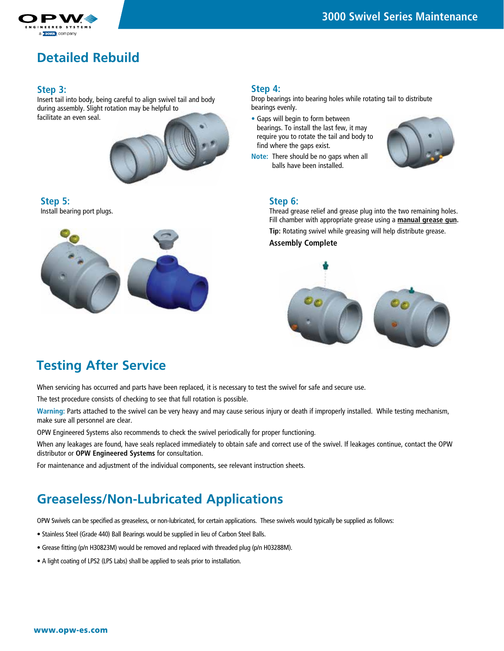

### **Detailed Rebuild**

#### **Step 3:**

Insert tail into body, being careful to align swivel tail and body during assembly. Slight rotation may be helpful to facilitate an even seal.



**Step 5:**  Install bearing port plugs.



#### **Step 4:**

Drop bearings into bearing holes while rotating tail to distribute bearings evenly.

- Gaps will begin to form between bearings. To install the last few, it may require you to rotate the tail and body to find where the gaps exist.
- **Note:** There should be no gaps when all balls have been installed.



#### **Step 6:**

Thread grease relief and grease plug into the two remaining holes. Fill chamber with appropriate grease using a **manual grease gun. Tip:** Rotating swivel while greasing will help distribute grease.

**Assembly Complete**



### **Testing After Service**

When servicing has occurred and parts have been replaced, it is necessary to test the swivel for safe and secure use.

The test procedure consists of checking to see that full rotation is possible.

**Warning:** Parts attached to the swivel can be very heavy and may cause serious injury or death if improperly installed. While testing mechanism, make sure all personnel are clear.

OPW Engineered Systems also recommends to check the swivel periodically for proper functioning.

When any leakages are found, have seals replaced immediately to obtain safe and correct use of the swivel. If leakages continue, contact the OPW distributor or **OPW Engineered Systems** for consultation.

For maintenance and adjustment of the individual components, see relevant instruction sheets.

## **Greaseless/Non-Lubricated Applications**

OPW Swivels can be specified as greaseless, or non-lubricated, for certain applications. These swivels would typically be supplied as follows:

- Stainless Steel (Grade 440) Ball Bearings would be supplied in lieu of Carbon Steel Balls.
- Grease fitting (p/n H30823M) would be removed and replaced with threaded plug (p/n H03288M).
- A light coating of LPS2 (LPS Labs) shall be applied to seals prior to installation.